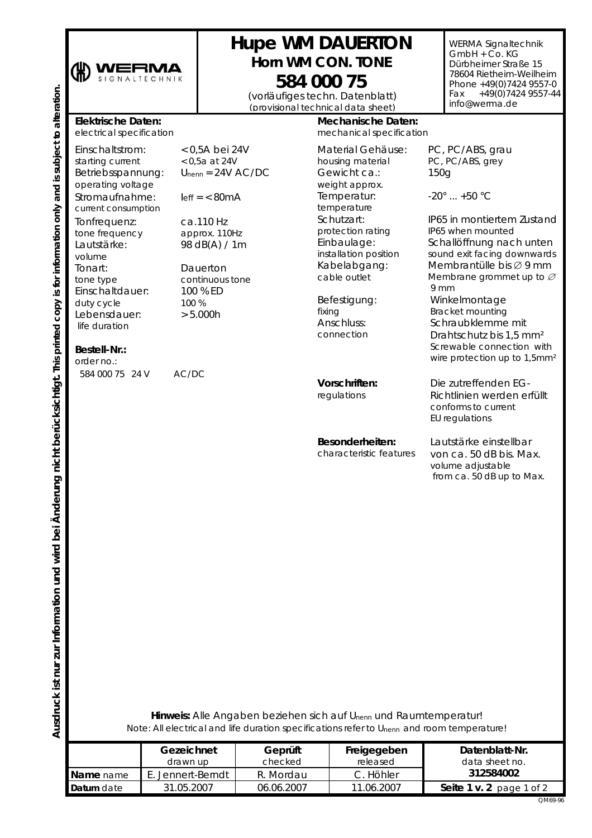

## **Hupe WM DAUERTON**  *Horn WM CON. TONE*

(vorläufiges techn. Datenblatt) *(provisional technical data sheet)* **584 000 75**

WERMA Signaltechnik GmbH + Co. KG Dürbheimer Straße 15 78604 Rietheim-Weilheim Phone +49(0)7424 9557-0 Fax  $+49(0)74249557-44$ info@werma.de

## **Elektrische Daten:**

*electrical specification*

Einschaltstrom: *starting current*  Betriebsspannung: *operating voltage* Stromaufnahme: *current consumption* Tonfrequenz: *tone frequency*  Lautstärke: *volume*  Tonart: *tone type*  Einschaltdauer: *duty cycle*  Lebensdauer:  *life duration* 

< 0,5A bei 24V *< 0,5a at 24V*   $U_{nenn} = 24V$  AC/DC

 $left = < 80mA$ 

ca.110 Hz *approx. 110Hz*  98 dB(A) / 1m

Dauerton *continuous tone*  100 % ED *100 %*   $> 5.000h$ 

## **Bestell-Nr.:**

*order no.: 584 000 75 24 V AC/DC* 

## **Mechanische Daten:**

*mechanical specification*

Material Gehäuse: *housing material*  Gewicht ca.: *weight approx.*  Temperatur: *temperature*  Schutzart: *protection rating*  Einbaulage: *installation position*  Kabelabgang: *cable outlet* 

Befestigung: *fixing*  Anschluss: *connection* 

**Vorschriften:**  *regulations*

**Besonderheiten:** 

*characteristic features*

PC, PC/ABS, grau *PC, PC/ABS, grey* 150g

-20° ... +50 °C

IP65 in montiertem Zustand *IP65 when mounted*  Schallöffnung nach unten *sound exit facing downwards*  Membrantülle bis ∅ 9 mm *Membrane grommet up to* ∅  *9 mm*  Winkelmontage *Bracket mounting*  Schraubklemme mit Drahtschutz bis 1,5 mm² *Screwable connection with wire protection up to 1,5mm²* Die zutreffenden EG-Richtlinien werden erfüllt *conforms to current EU regulations* 

Lautstärke einstellbar von ca. 50 dB bis. Max. *volume adjustable from ca. 50 dB up to Max.* 

**Hinweis:** Alle Angaben beziehen sich auf Unenn und Raumtemperatur! *Note: All electrical and life duration specifications refer to U*nenn *and room temperature!*

|            | Gezeichnet<br>drawn up | Geprüft<br>checked | Freigegeben<br>released | Datenblatt-Nr.<br>data sheet no. |
|------------|------------------------|--------------------|-------------------------|----------------------------------|
| Name name  | E. Jennert-Berndt      | R. Mordau          | C. Höhler               | 312584002                        |
| Datum date | 31.05.2007             | 06.06.2007         | 11.06.2007              | Seite 1 v. 2 page 1 of 2         |
|            |                        |                    |                         | OM69-96                          |

**Ausdruck ist nur zur Information und wird bei Änderung nicht berücksichtigt.** *This printed copy is for information only and is subject to alteration.* Ausdruck ist nur zur Information und wird bei Änderung nicht berücksichtigt. This printed copy is for information only and is subject to alteration.